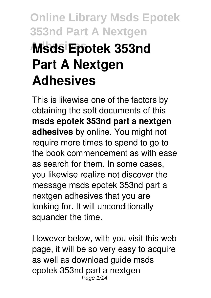# **Online Library Msds Epotek 353nd Part A Nextgen Adhesives Msds Epotek 353nd Part A Nextgen Adhesives**

This is likewise one of the factors by obtaining the soft documents of this **msds epotek 353nd part a nextgen adhesives** by online. You might not require more times to spend to go to the book commencement as with ease as search for them. In some cases, you likewise realize not discover the message msds epotek 353nd part a nextgen adhesives that you are looking for. It will unconditionally squander the time.

However below, with you visit this web page, it will be so very easy to acquire as well as download guide msds epotek 353nd part a nextgen Page 1/14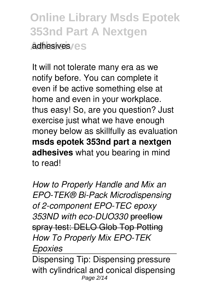**Online Library Msds Epotek 353nd Part A Nextgen Adhesives** adhesives

It will not tolerate many era as we notify before. You can complete it even if be active something else at home and even in your workplace. thus easy! So, are you question? Just exercise just what we have enough money below as skillfully as evaluation **msds epotek 353nd part a nextgen adhesives** what you bearing in mind to read!

*How to Properly Handle and Mix an EPO-TEK® Bi-Pack Microdispensing of 2-component EPO-TEC epoxy 353ND with eco-DUO330* preeflow spray test: DELO Glob Top Potting *How To Properly Mix EPO-TEK Epoxies*

Dispensing Tip: Dispensing pressure with cylindrical and conical dispensing Page 2/14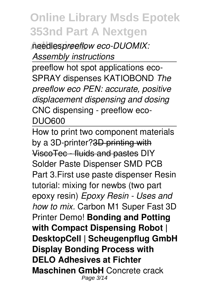**Adhesives** needles*preeflow eco-DUOMIX: Assembly instructions*

preeflow hot spot applications eco-SPRAY dispenses KATIOBOND *The preeflow eco PEN: accurate, positive displacement dispensing and dosing* CNC dispensing - preeflow eco-DUO600

How to print two component materials by a 3D-printer?3D printing with ViscoTec - fluids and pastes DIY Solder Paste Dispenser SMD PCB Part 3.First use paste dispenser Resin tutorial: mixing for newbs (two part epoxy resin) *Epoxy Resin - Uses and how to mix.* Carbon M1 Super Fast 3D Printer Demo! **Bonding and Potting with Compact Dispensing Robot | DesktopCell | Scheugenpflug GmbH Display Bonding Process with DELO Adhesives at Fichter Maschinen GmbH** Concrete crack Page 3/14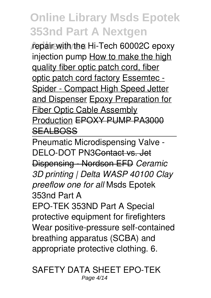repair with the Hi-Tech 60002C epoxy injection pump How to make the high quality fiber optic patch cord, fiber optic patch cord factory Essemtec - Spider - Compact High Speed Jetter and Dispenser Epoxy Preparation for Fiber Optic Cable Assembly Production EPOXY PUMP PA3000 **SEALBOSS** 

Pneumatic Microdispensing Valve - DELO-DOT PN3Contact vs. Jet Dispensing - Nordson EFD *Ceramic 3D printing | Delta WASP 40100 Clay preeflow one for all* Msds Epotek 353nd Part A

EPO-TEK 353ND Part A Special protective equipment for firefighters Wear positive-pressure self-contained breathing apparatus (SCBA) and appropriate protective clothing. 6.

SAFETY DATA SHEET EPO-TEK Page 4/14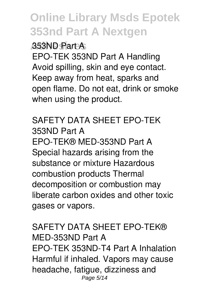#### **Adhesives** 353ND Part A

EPO-TEK 353ND Part A Handling Avoid spilling, skin and eye contact. Keep away from heat, sparks and open flame. Do not eat, drink or smoke when using the product.

#### SAFETY DATA SHEET EPO-TEK 353ND Part A EPO-TEK® MED-353ND Part A Special hazards arising from the substance or mixture Hazardous combustion products Thermal decomposition or combustion may liberate carbon oxides and other toxic gases or vapors.

#### SAFETY DATA SHEET EPO-TEK® MED-353ND Part A EPO-TEK 353ND-T4 Part A Inhalation Harmful if inhaled. Vapors may cause headache, fatigue, dizziness and Page 5/14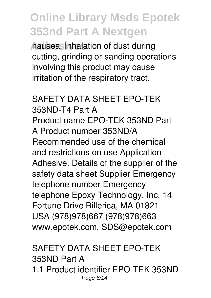**Adhesives** nausea. Inhalation of dust during cutting, grinding or sanding operations involving this product may cause irritation of the respiratory tract.

#### SAFETY DATA SHEET EPO-TEK 353ND-T4 Part A Product name EPO-TEK 353ND Part A Product number 353ND/A Recommended use of the chemical and restrictions on use Application Adhesive. Details of the supplier of the safety data sheet Supplier Emergency telephone number Emergency telephone Epoxy Technology, Inc. 14 Fortune Drive Billerica, MA 01821 USA (978)978)667 (978)978)663 www.epotek.com, SDS@epotek.com

#### SAFETY DATA SHEET EPO-TEK 353ND Part A 1.1 Product identifier EPO-TEK 353ND Page 6/14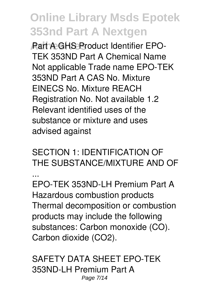**Part A GHS Product Identifier EPO-**TEK 353ND Part A Chemical Name Not applicable Trade name EPO-TEK 353ND Part A CAS No. Mixture EINECS No. Mixture REACH Registration No. Not available 1.2 Relevant identified uses of the substance or mixture and uses advised against

SECTION 1: IDENTIFICATION OF THE SUBSTANCE/MIXTURE AND OF ...

EPO-TEK 353ND-LH Premium Part A Hazardous combustion products Thermal decomposition or combustion products may include the following substances: Carbon monoxide (CO). Carbon dioxide (CO2).

SAFETY DATA SHEET EPO-TEK 353ND-LH Premium Part A Page 7/14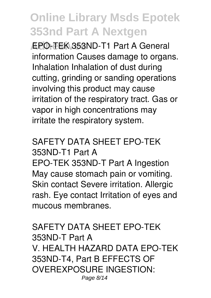**Adhesives** EPO-TEK 353ND-T1 Part A General information Causes damage to organs. Inhalation Inhalation of dust during cutting, grinding or sanding operations involving this product may cause irritation of the respiratory tract. Gas or vapor in high concentrations may irritate the respiratory system.

#### SAFETY DATA SHEET EPO-TEK 353ND-T1 Part A

EPO-TEK 353ND-T Part A Ingestion May cause stomach pain or vomiting. Skin contact Severe irritation. Allergic rash. Eye contact Irritation of eyes and mucous membranes.

#### SAFETY DATA SHEET EPO-TEK 353ND-T Part A V. HEALTH HAZARD DATA EPO-TEK 353ND-T4, Part B EFFECTS OF OVEREXPOSURE INGESTION: Page 8/14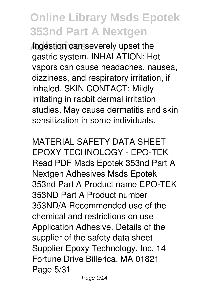**Adhesives** Ingestion can severely upset the gastric system. INHALATION: Hot vapors can cause headaches, nausea, dizziness, and respiratory irritation, if inhaled. SKIN CONTACT: Mildly irritating in rabbit dermal irritation studies. May cause dermatitis and skin sensitization in some individuals.

MATERIAL SAFETY DATA SHEET EPOXY TECHNOLOGY - EPO-TEK Read PDF Msds Epotek 353nd Part A Nextgen Adhesives Msds Epotek 353nd Part A Product name EPO-TEK 353ND Part A Product number 353ND/A Recommended use of the chemical and restrictions on use Application Adhesive. Details of the supplier of the safety data sheet Supplier Epoxy Technology, Inc. 14 Fortune Drive Billerica, MA 01821 Page 5/31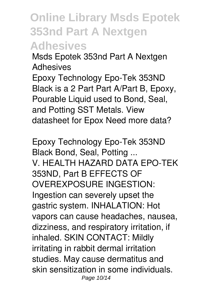Msds Epotek 353nd Part A Nextgen Adhesives

Epoxy Technology Epo-Tek 353ND Black is a 2 Part Part A/Part B, Epoxy, Pourable Liquid used to Bond, Seal, and Potting SST Metals. View datasheet for Epox Need more data?

Epoxy Technology Epo-Tek 353ND Black Bond, Seal, Potting ... V. HEALTH HAZARD DATA EPO-TEK 353ND, Part B EFFECTS OF OVEREXPOSURE INGESTION: Ingestion can severely upset the gastric system. INHALATION: Hot vapors can cause headaches, nausea, dizziness, and respiratory irritation, if inhaled. SKIN CONTACT: Mildly irritating in rabbit dermal irritation studies. May cause dermatitus and skin sensitization in some individuals. Page 10/14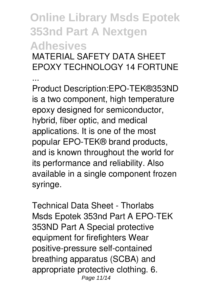MATERIAL SAFETY DATA SHEET EPOXY TECHNOLOGY 14 FORTUNE

...

Product Description:EPO-TEK®353ND is a two component, high temperature epoxy designed for semiconductor, hybrid, fiber optic, and medical applications. It is one of the most popular EPO-TEK® brand products, and is known throughout the world for its performance and reliability. Also available in a single component frozen syringe.

Technical Data Sheet - Thorlabs Msds Epotek 353nd Part A EPO-TEK 353ND Part A Special protective equipment for firefighters Wear positive-pressure self-contained breathing apparatus (SCBA) and appropriate protective clothing. 6. Page 11/14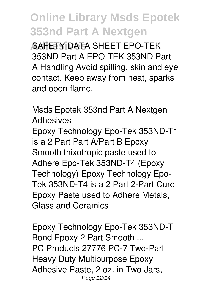**Adhesives** SAFETY DATA SHEET EPO-TEK 353ND Part A EPO-TEK 353ND Part A Handling Avoid spilling, skin and eye contact. Keep away from heat, sparks and open flame.

Msds Epotek 353nd Part A Nextgen Adhesives Epoxy Technology Epo-Tek 353ND-T1 is a 2 Part Part A/Part B Epoxy Smooth thixotropic paste used to Adhere Epo-Tek 353ND-T4 (Epoxy Technology) Epoxy Technology Epo-Tek 353ND-T4 is a 2 Part 2-Part Cure Epoxy Paste used to Adhere Metals, Glass and Ceramics

Epoxy Technology Epo-Tek 353ND-T Bond Epoxy 2 Part Smooth ... PC Products 27776 PC-7 Two-Part Heavy Duty Multipurpose Epoxy Adhesive Paste, 2 oz. in Two Jars, Page 12/14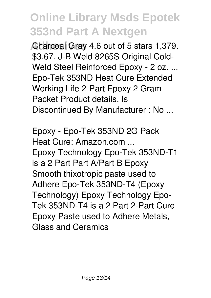**Charcoal Gray 4.6 out of 5 stars 1,379.** \$3.67. J-B Weld 8265S Original Cold-Weld Steel Reinforced Epoxy - 2 oz. ... Epo-Tek 353ND Heat Cure Extended Working Life 2-Part Epoxy 2 Gram Packet Product details. Is Discontinued By Manufacturer : No ...

Epoxy - Epo-Tek 353ND 2G Pack Heat Cure: Amazon.com ... Epoxy Technology Epo-Tek 353ND-T1 is a 2 Part Part A/Part B Epoxy Smooth thixotropic paste used to Adhere Epo-Tek 353ND-T4 (Epoxy Technology) Epoxy Technology Epo-Tek 353ND-T4 is a 2 Part 2-Part Cure Epoxy Paste used to Adhere Metals, Glass and Ceramics